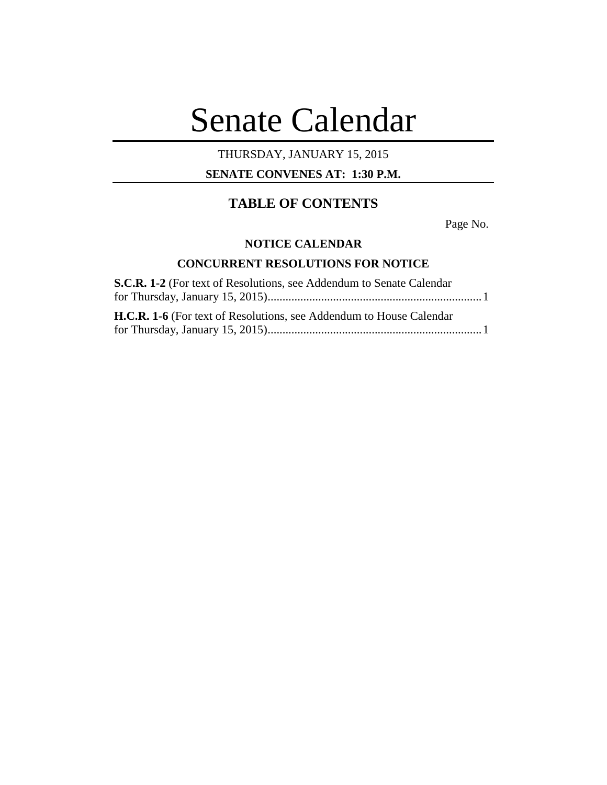# Senate Calendar

# THURSDAY, JANUARY 15, 2015

# **SENATE CONVENES AT: 1:30 P.M.**

# **TABLE OF CONTENTS**

Page No.

#### **NOTICE CALENDAR**

## **CONCURRENT RESOLUTIONS FOR NOTICE**